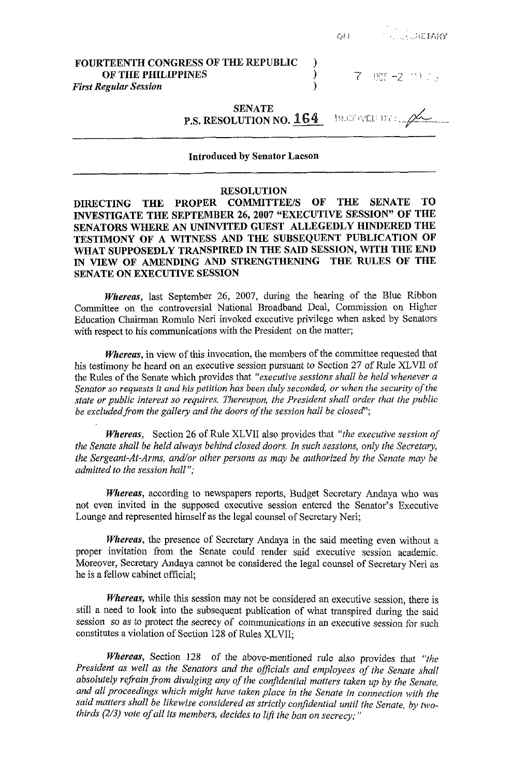|                                                                                           |  | <b><i>QUESTION CONTRACTORY</i></b> |
|-------------------------------------------------------------------------------------------|--|------------------------------------|
| FOURTEENTH CONGRESS OF THE REPUBLIC<br>OF THE PHILIPPINES<br><b>First Regular Session</b> |  | 7 照 -2 当 12                        |
| <b>SENATE</b><br>P.S. RESOLUTION NO. 164 MARTINED BY:                                     |  |                                    |

## Introduced **by Senator** Lacson

## **RESOLUTION**

**DIRECTING THE PROPER COMMITTEE/S OF THE SENATE TO INVESTIGATE THE SEPTEMBER 26,2007 "EXECUTIVE SESSION" OF THE SENATORS WHERE AN UNINVITED GUEST ALLEGEDLY HINDERED THE TESTIMONY OF A WITNESS AND THE SUBSEQUENT PUBLICATION OF WHAT SUPPOSEDLY TRANSPIRED IN THE SAID SESSION, WITH THE END IN VIEW OF AMENDING AND STRENGTHENING THE RULES OF THE SENATE ON EXECUTIVE SESSION** 

*Whereas,* last September *26,* 2007, during the hearing of the Blue Ribbon Committee on the controversial National Broadband Deal, Commission on Higher Education Chairman Romulo Neri invoked executive privilege when asked by Senators with respect to his communications with the President on the matter;

*Whereas,* in view of this invocation, the members of the committee requested that his testimony be heard on an executive session pursuant to Section 27 of Rule XLVII of the Rules of the Senate which provides that *"executive sessions shall be held whenever a Senator so requests it and his petition has been duly seconded, or when the security of the state or public interest so requires. Thereupon, the President shall order that the public*  be excluded from the gallery and the doors of the session hall be closed";

*Whereas,* Section 26 of Rule XLVII also provides that *"the executive session of the Senate shall be held always behind closed doors. In such sessions, only the Secretary, the Sergeant-At-Arms, and/or other persons as may be authorized by the Senate may be admitted to the session hall";* 

*Whereas,* according to newspapers reports, Budget Secretary Andaya who was not even invited in the supposed executive session entered the Senator's Executive Lounge and represented himself as the legal counsel of Secretary Neri;

*Whereas,* the presence of Secretary Andaya in the said meeting even without a proper invitation from the Senate could render said executive session academic. Moreover, Secretary Andaya cannot be considered the legal counsel of Secretary Neri as he is a fellow cabinet official;

*Whereas,* while this session may not be considered an executive session, there is still a need to look into the subsequent publication of what transpired during the said session so as to protect the secrecy of communications in an executive session for such constitutes a violation of Section 128 of Rules XLVII;

*Whereas,* Section 128 of the above-mentioned rule also provides that *"the President as well as ihe Senators and the officials and employees of the Senate shall*  absolutely refrain from divulging any of the confidential matters taken up by the Senate, *and all proceedings which might have taken place in the Senate in connection with the said matters shall be likewise considered as strictly conjdential until the Senate, by twothirds (213) vote of all its members, decides to lift the ban on secrecy;"*